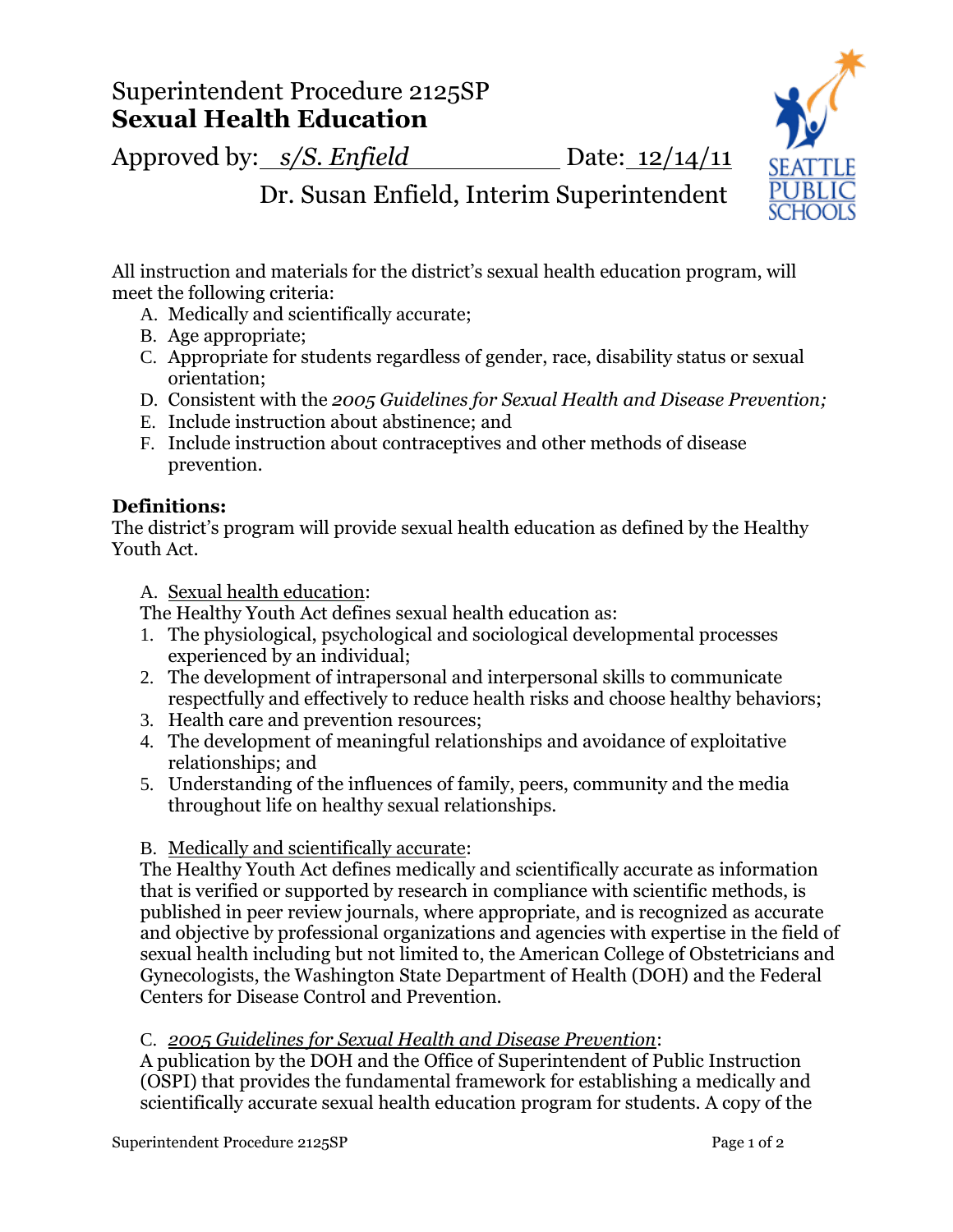Approved by: *s/S. Enfield* Date: 12/14/11



Dr. Susan Enfield, Interim Superintendent

All instruction and materials for the district's sexual health education program, will meet the following criteria:

- A. Medically and scientifically accurate;
- B. Age appropriate;
- C. Appropriate for students regardless of gender, race, disability status or sexual orientation;
- D. Consistent with the *2005 Guidelines for Sexual Health and Disease Prevention;*
- E. Include instruction about abstinence; and
- F. Include instruction about contraceptives and other methods of disease prevention.

# **Definitions:**

The district's program will provide sexual health education as defined by the Healthy Youth Act.

A. Sexual health education:

The Healthy Youth Act defines sexual health education as:

- 1. The physiological, psychological and sociological developmental processes experienced by an individual;
- 2. The development of intrapersonal and interpersonal skills to communicate respectfully and effectively to reduce health risks and choose healthy behaviors;
- 3. Health care and prevention resources;
- 4. The development of meaningful relationships and avoidance of exploitative relationships; and
- 5. Understanding of the influences of family, peers, community and the media throughout life on healthy sexual relationships.

## B. Medically and scientifically accurate:

The Healthy Youth Act defines medically and scientifically accurate as information that is verified or supported by research in compliance with scientific methods, is published in peer review journals, where appropriate, and is recognized as accurate and objective by professional organizations and agencies with expertise in the field of sexual health including but not limited to, the American College of Obstetricians and Gynecologists, the Washington State Department of Health (DOH) and the Federal Centers for Disease Control and Prevention.

# C. *2005 Guidelines for Sexual Health and Disease Prevention*:

A publication by the DOH and the Office of Superintendent of Public Instruction (OSPI) that provides the fundamental framework for establishing a medically and scientifically accurate sexual health education program for students. A copy of the